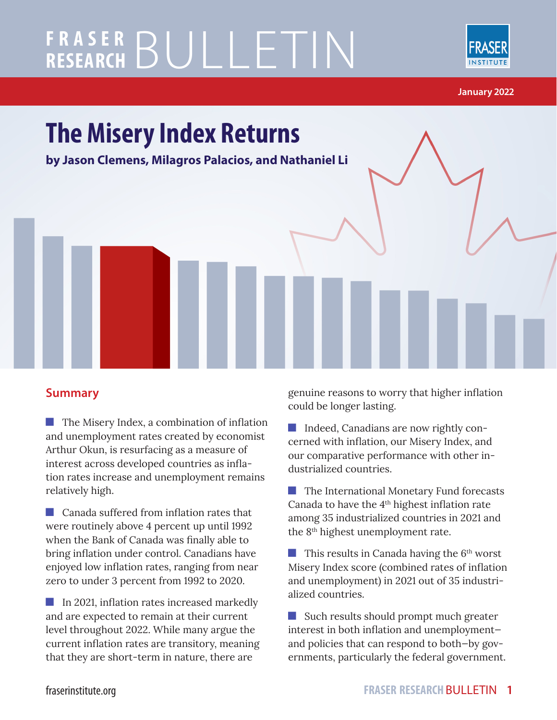# **FRASER RESEARCH** BULLETIN



**January 2022**



#### **Summary**

**The Misery Index, a combination of inflation** and unemployment rates created by economist Arthur Okun, is resurfacing as a measure of interest across developed countries as inflation rates increase and unemployment remains relatively high.

**Canada suffered from inflation rates that** were routinely above 4 percent up until 1992 when the Bank of Canada was finally able to bring inflation under control. Canadians have enjoyed low inflation rates, ranging from near zero to under 3 percent from 1992 to 2020.

In 2021, inflation rates increased markedly and are expected to remain at their current level throughout 2022. While many argue the current inflation rates are transitory, meaning that they are short-term in nature, there are

genuine reasons to worry that higher inflation could be longer lasting.

Indeed, Canadians are now rightly concerned with inflation, our Misery Index, and our comparative performance with other industrialized countries.

**The International Monetary Fund forecasts** Canada to have the 4th highest inflation rate among 35 industrialized countries in 2021 and the 8th highest unemployment rate.

 $\blacksquare$  This results in Canada having the 6<sup>th</sup> worst Misery Index score (combined rates of inflation and unemployment) in 2021 out of 35 industrialized countries.

Such results should prompt much greater interest in both inflation and unemployment and policies that can respond to both—by governments, particularly the federal government.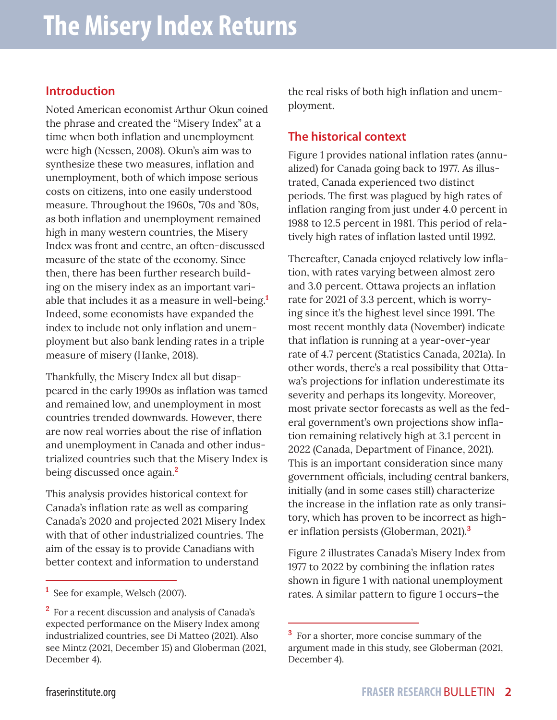#### **Introduction**

Noted American economist Arthur Okun coined the phrase and created the "Misery Index" at a time when both inflation and unemployment were high (Nessen, 2008). Okun's aim was to synthesize these two measures, inflation and unemployment, both of which impose serious costs on citizens, into one easily understood measure. Throughout the 1960s, '70s and '80s, as both inflation and unemployment remained high in many western countries, the Misery Index was front and centre, an often-discussed measure of the state of the economy. Since then, there has been further research building on the misery index as an important variable that includes it as a measure in well-being.**<sup>1</sup>** Indeed, some economists have expanded the index to include not only inflation and unemployment but also bank lending rates in a triple measure of misery (Hanke, 2018).

Thankfully, the Misery Index all but disappeared in the early 1990s as inflation was tamed and remained low, and unemployment in most countries trended downwards. However, there are now real worries about the rise of inflation and unemployment in Canada and other industrialized countries such that the Misery Index is being discussed once again.**<sup>2</sup>**

This analysis provides historical context for Canada's inflation rate as well as comparing Canada's 2020 and projected 2021 Misery Index with that of other industrialized countries. The aim of the essay is to provide Canadians with better context and information to understand

the real risks of both high inflation and unemployment.

#### **The historical context**

Figure 1 provides national inflation rates (annualized) for Canada going back to 1977. As illustrated, Canada experienced two distinct periods. The first was plagued by high rates of inflation ranging from just under 4.0 percent in 1988 to 12.5 percent in 1981. This period of relatively high rates of inflation lasted until 1992.

Thereafter, Canada enjoyed relatively low inflation, with rates varying between almost zero and 3.0 percent. Ottawa projects an inflation rate for 2021 of 3.3 percent, which is worrying since it's the highest level since 1991. The most recent monthly data (November) indicate that inflation is running at a year-over-year rate of 4.7 percent (Statistics Canada, 2021a). In other words, there's a real possibility that Ottawa's projections for inflation underestimate its severity and perhaps its longevity. Moreover, most private sector forecasts as well as the federal government's own projections show inflation remaining relatively high at 3.1 percent in 2022 (Canada, Department of Finance, 2021). This is an important consideration since many government officials, including central bankers, initially (and in some cases still) characterize the increase in the inflation rate as only transitory, which has proven to be incorrect as higher inflation persists (Globerman, 2021).**<sup>3</sup>**

Figure 2 illustrates Canada's Misery Index from 1977 to 2022 by combining the inflation rates shown in figure 1 with national unemployment rates. A similar pattern to figure 1 occurs—the

**<sup>1</sup>** See for example, Welsch (2007).

**<sup>2</sup>** For a recent discussion and analysis of Canada's expected performance on the Misery Index among industrialized countries, see Di Matteo (2021). Also see Mintz (2021, December 15) and Globerman (2021, December 4).

<sup>&</sup>lt;sup>3</sup> For a shorter, more concise summary of the argument made in this study, see Globerman (2021, December 4).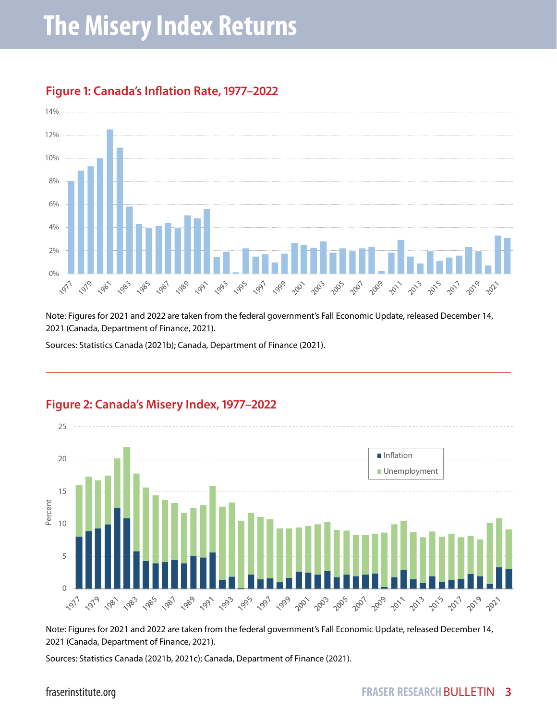

#### **Figure 1: Canada's Inflation Rate, 1977–2022**

Note: Figures for 2021 and 2022 are taken from the federal government's Fall Economic Update, released December 14, 2021 (Canada, Department of Finance, 2021).

Sources: Statistics Canada (2021b); Canada, Department of Finance (2021).



#### **Figure 2: Canada's Misery Index, 1977–2022**

Note: Figures for 2021 and 2022 are taken from the federal government's Fall Economic Update, released December 14, 2021 (Canada, Department of Finance, 2021).

Sources: Statistics Canada (2021b, 2021c); Canada, Department of Finance (2021).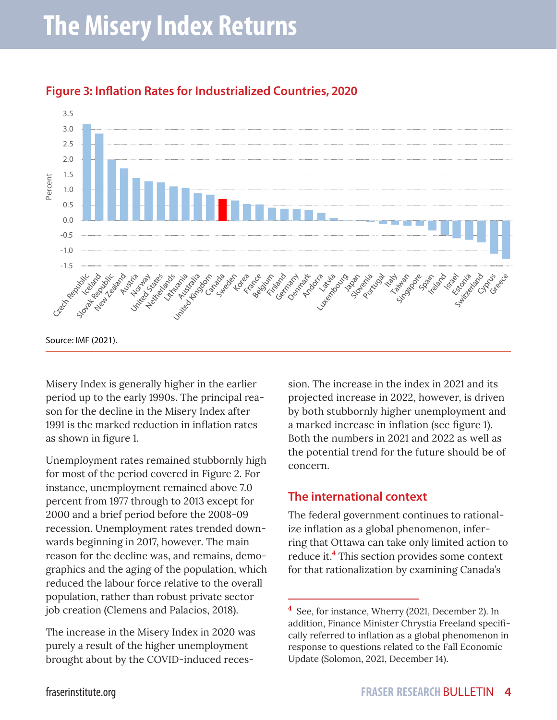

#### **Figure 3: Inflation Rates for Industrialized Countries, 2020**

Misery Index is generally higher in the earlier period up to the early 1990s. The principal reason for the decline in the Misery Index after 1991 is the marked reduction in inflation rates as shown in figure 1.

Unemployment rates remained stubbornly high for most of the period covered in Figure 2. For instance, unemployment remained above 7.0 percent from 1977 through to 2013 except for 2000 and a brief period before the 2008-09 recession. Unemployment rates trended downwards beginning in 2017, however. The main reason for the decline was, and remains, demographics and the aging of the population, which reduced the labour force relative to the overall population, rather than robust private sector job creation (Clemens and Palacios, 2018).

The increase in the Misery Index in 2020 was purely a result of the higher unemployment brought about by the COVID-induced recession. The increase in the index in 2021 and its projected increase in 2022, however, is driven by both stubbornly higher unemployment and a marked increase in inflation (see figure 1). Both the numbers in 2021 and 2022 as well as the potential trend for the future should be of concern.

#### **The international context**

The federal government continues to rationalize inflation as a global phenomenon, inferring that Ottawa can take only limited action to reduce it.**<sup>4</sup>** This section provides some context for that rationalization by examining Canada's

**<sup>4</sup>** See, for instance, Wherry (2021, December 2). In addition, Finance Minister Chrystia Freeland specifically referred to inflation as a global phenomenon in response to questions related to the Fall Economic Update (Solomon, 2021, December 14).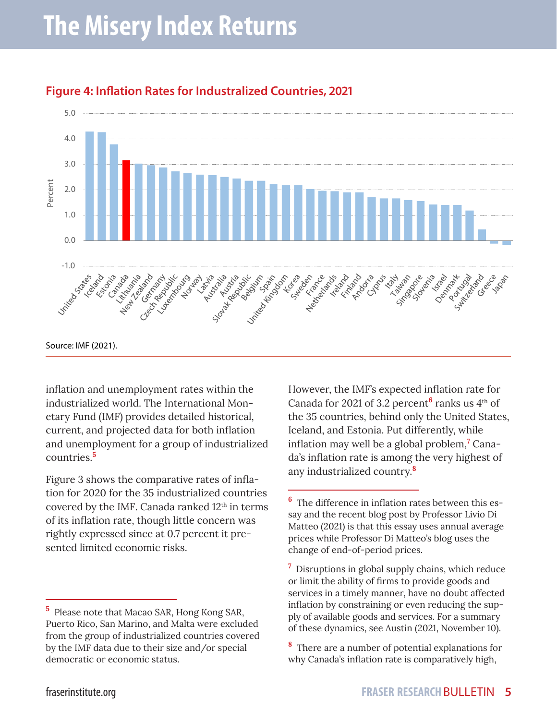

#### **Figure 4: Inflation Rates for Industralized Countries, 2021**

inflation and unemployment rates within the industrialized world. The International Monetary Fund (IMF) provides detailed historical, current, and projected data for both inflation and unemployment for a group of industrialized countries.**<sup>5</sup>**

Figure 3 shows the comparative rates of inflation for 2020 for the 35 industrialized countries covered by the IMF. Canada ranked 12<sup>th</sup> in terms of its inflation rate, though little concern was rightly expressed since at 0.7 percent it presented limited economic risks.

However, the IMF's expected inflation rate for Canada for 2021 of 3.2 percent<sup>6</sup> ranks us 4<sup>th</sup> of the 35 countries, behind only the United States, Iceland, and Estonia. Put differently, while inflation may well be a global problem,**<sup>7</sup>** Canada's inflation rate is among the very highest of any industrialized country.**<sup>8</sup>**

**<sup>5</sup>** Please note that Macao SAR, Hong Kong SAR, Puerto Rico, San Marino, and Malta were excluded from the group of industrialized countries covered by the IMF data due to their size and/or special democratic or economic status.

**<sup>6</sup>** The difference in inflation rates between this essay and the recent blog post by Professor Livio Di Matteo (2021) is that this essay uses annual average prices while Professor Di Matteo's blog uses the change of end-of-period prices.

**<sup>7</sup>** Disruptions in global supply chains, which reduce or limit the ability of firms to provide goods and services in a timely manner, have no doubt affected inflation by constraining or even reducing the supply of available goods and services. For a summary of these dynamics, see Austin (2021, November 10).

**<sup>8</sup>** There are a number of potential explanations for why Canada's inflation rate is comparatively high,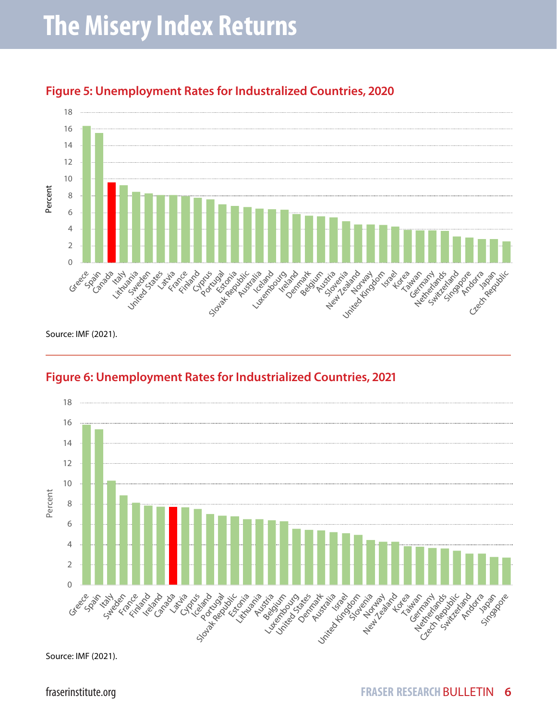

#### **Figure 5: Unemployment Rates for Industralized Countries, 2020**

Source: IMF (2021).

### **Figure 6: Unemployment Rates for Industrialized Countries, 2021**



Source: IMF (2021).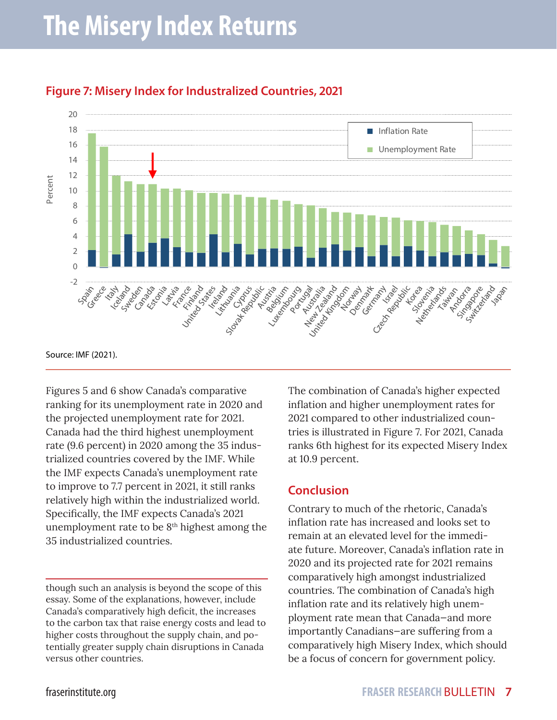

#### **Figure 7: Misery Index for Industralized Countries, 2021**

Figures 5 and 6 show Canada's comparative ranking for its unemployment rate in 2020 and the projected unemployment rate for 2021. Canada had the third highest unemployment rate (9.6 percent) in 2020 among the 35 industrialized countries covered by the IMF. While the IMF expects Canada's unemployment rate to improve to 7.7 percent in 2021, it still ranks relatively high within the industrialized world. Specifically, the IMF expects Canada's 2021

unemployment rate to be  $8<sup>th</sup>$  highest among the 35 industrialized countries.

though such an analysis is beyond the scope of this essay. Some of the explanations, however, include Canada's comparatively high deficit, the increases to the carbon tax that raise energy costs and lead to higher costs throughout the supply chain, and potentially greater supply chain disruptions in Canada versus other countries.

The combination of Canada's higher expected inflation and higher unemployment rates for 2021 compared to other industrialized countries is illustrated in Figure 7. For 2021, Canada ranks 6th highest for its expected Misery Index at 10.9 percent.

#### **Conclusion**

Contrary to much of the rhetoric, Canada's inflation rate has increased and looks set to remain at an elevated level for the immediate future. Moreover, Canada's inflation rate in 2020 and its projected rate for 2021 remains comparatively high amongst industrialized countries. The combination of Canada's high inflation rate and its relatively high unemployment rate mean that Canada—and more importantly Canadians—are suffering from a comparatively high Misery Index, which should be a focus of concern for government policy.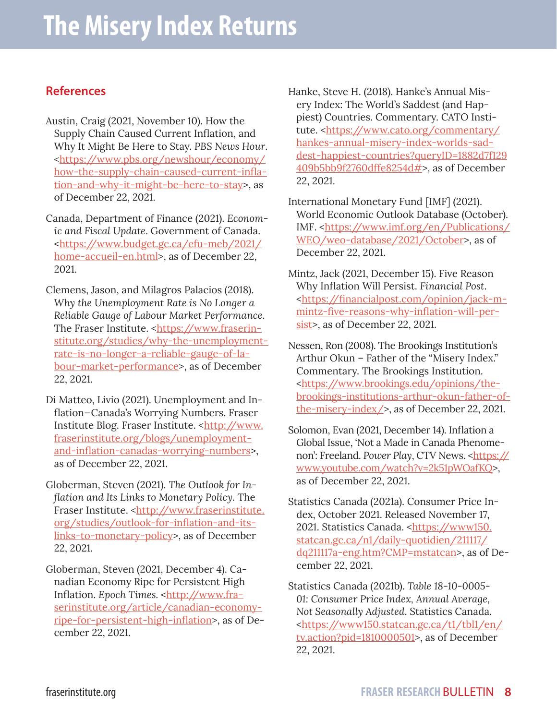#### **References**

- Austin, Craig (2021, November 10). How the Supply Chain Caused Current Inflation, and Why It Might Be Here to Stay. *PBS News Hour*. [<https://www.pbs.org/newshour/economy/](https://www.pbs.org/newshour/economy/how-the-supply-chain-caused-current-inflation-and-why-it-might-be-here-to-stay) [how-the-supply-chain-caused-current-infla](https://www.pbs.org/newshour/economy/how-the-supply-chain-caused-current-inflation-and-why-it-might-be-here-to-stay)[tion-and-why-it-might-be-here-to-stay](https://www.pbs.org/newshour/economy/how-the-supply-chain-caused-current-inflation-and-why-it-might-be-here-to-stay)>, as of December 22, 2021.
- Canada, Department of Finance (2021). *Economic and Fiscal Update*. Government of Canada. [<https://www.budget.gc.ca/efu-meb/2021/](https://www.budget.gc.ca/efu-meb/2021/home-accueil-en.html) [home-accueil-en.html>](https://www.budget.gc.ca/efu-meb/2021/home-accueil-en.html), as of December 22, 2021.
- Clemens, Jason, and Milagros Palacios (2018). *Why the Unemployment Rate is No Longer a Reliable Gauge of Labour Market Performance*. The Fraser Institute. [<https://www.fraserin](https://www.fraserinstitute.org/studies/why-the-unemployment-rate-is-no-longer-a-reliable-gauge-of-labour-market-performance)[stitute.org/studies/why-the-unemployment](https://www.fraserinstitute.org/studies/why-the-unemployment-rate-is-no-longer-a-reliable-gauge-of-labour-market-performance)[rate-is-no-longer-a-reliable-gauge-of-la](https://www.fraserinstitute.org/studies/why-the-unemployment-rate-is-no-longer-a-reliable-gauge-of-labour-market-performance)[bour-market-performance>](https://www.fraserinstitute.org/studies/why-the-unemployment-rate-is-no-longer-a-reliable-gauge-of-labour-market-performance), as of December 22, 2021.
- Di Matteo, Livio (2021). Unemployment and Inflation—Canada's Worrying Numbers. Fraser Institute Blog. Fraser Institute. [<http://www.](http://www.fraserinstitute.org/blogs/unemployment-and-inflation-canadas-worrying-numbers) [fraserinstitute.org/blogs/unemployment](http://www.fraserinstitute.org/blogs/unemployment-and-inflation-canadas-worrying-numbers)[and-inflation-canadas-worrying-numbers](http://www.fraserinstitute.org/blogs/unemployment-and-inflation-canadas-worrying-numbers)>, as of December 22, 2021.
- Globerman, Steven (2021). *The Outlook for Inflation and Its Links to Monetary Policy*. The Fraser Institute. <[http://www.fraserinstitute.](http://www.fraserinstitute.org/studies/outlook-for-inflation-and-its-links-to-monetary-policy) [org/studies/outlook-for-inflation-and-its](http://www.fraserinstitute.org/studies/outlook-for-inflation-and-its-links-to-monetary-policy)[links-to-monetary-policy](http://www.fraserinstitute.org/studies/outlook-for-inflation-and-its-links-to-monetary-policy)>, as of December 22, 2021.
- Globerman, Steven (2021, December 4). Canadian Economy Ripe for Persistent High Inflation. Epoch Times. <[http://www.fra](http://www.fraserinstitute.org/article/canadian-economy-ripe-for-persistent-high-inflation)[serinstitute.org/article/canadian-economy](http://www.fraserinstitute.org/article/canadian-economy-ripe-for-persistent-high-inflation)[ripe-for-persistent-high-inflation](http://www.fraserinstitute.org/article/canadian-economy-ripe-for-persistent-high-inflation)>, as of December 22, 2021.

Hanke, Steve H. (2018). Hanke's Annual Misery Index: The World's Saddest (and Happiest) Countries. Commentary. CATO Insti-tute. [<https://www.cato.org/commentary/](https://www.cato.org/commentary/hankes-annual-misery-index-worlds-saddest-happiest-countries?queryID=1882d7f129409b5bb9f2760dffe8254d) [hankes-annual-misery-index-worlds-sad](https://www.cato.org/commentary/hankes-annual-misery-index-worlds-saddest-happiest-countries?queryID=1882d7f129409b5bb9f2760dffe8254d)[dest-happiest-countries?queryID=1882d7f129](https://www.cato.org/commentary/hankes-annual-misery-index-worlds-saddest-happiest-countries?queryID=1882d7f129409b5bb9f2760dffe8254d) [409b5bb9f2760dffe8254d#](https://www.cato.org/commentary/hankes-annual-misery-index-worlds-saddest-happiest-countries?queryID=1882d7f129409b5bb9f2760dffe8254d)>, as of December 22, 2021.

- International Monetary Fund [IMF] (2021). World Economic Outlook Database (October). IMF. [<https://www.imf.org/en/Publications/](https://www.imf.org/en/Publications/WEO/weo-database/2021/October) [WEO/weo-database/2021/October](https://www.imf.org/en/Publications/WEO/weo-database/2021/October)>, as of December 22, 2021.
- Mintz, Jack (2021, December 15). Five Reason Why Inflation Will Persist. *Financial Post*. <[https://financialpost.com/opinion/jack-m](https://financialpost.com/opinion/jack-m-mintz-five-reasons-why-inflation-will-persist)[mintz-five-reasons-why-inflation-will-per](https://financialpost.com/opinion/jack-m-mintz-five-reasons-why-inflation-will-persist)[sist](https://financialpost.com/opinion/jack-m-mintz-five-reasons-why-inflation-will-persist)>, as of December 22, 2021.
- Nessen, Ron (2008). The Brookings Institution's Arthur Okun – Father of the "Misery Index." Commentary. The Brookings Institution. <[https://www.brookings.edu/opinions/the](https://www.brookings.edu/opinions/the-brookings-institutions-arthur-okun-father-of-the-misery-index/)[brookings-institutions-arthur-okun-father-of](https://www.brookings.edu/opinions/the-brookings-institutions-arthur-okun-father-of-the-misery-index/)[the-misery-index/>](https://www.brookings.edu/opinions/the-brookings-institutions-arthur-okun-father-of-the-misery-index/), as of December 22, 2021.
- Solomon, Evan (2021, December 14). Inflation a Global Issue, 'Not a Made in Canada Phenome-non': Freeland. Power Play, CTV News. [<https://](https://www.youtube.com/watch?v=2k51pWOafKQ) [www.youtube.com/watch?v=2k51pWOafKQ>](https://www.youtube.com/watch?v=2k51pWOafKQ), as of December 22, 2021.
- Statistics Canada (2021a). Consumer Price Index, October 2021. Released November 17, 2021. Statistics Canada. <https://www150. statcan.gc.ca/n1/daily-quotidien/211117/ dq211117a-eng.htm?CMP=mstatcan>, as of December 22, 2021.
- Statistics Canada (2021b). *Table 18-10-0005- 01: Consumer Price Index, Annual Average, Not Seasonally Adjusted*. Statistics Canada. <[https://www150.statcan.gc.ca/t1/tbl1/en/](https://www150.statcan.gc.ca/t1/tbl1/en/tv.action?pid=1810000501) [tv.action?pid=1810000501>](https://www150.statcan.gc.ca/t1/tbl1/en/tv.action?pid=1810000501), as of December 22, 2021.